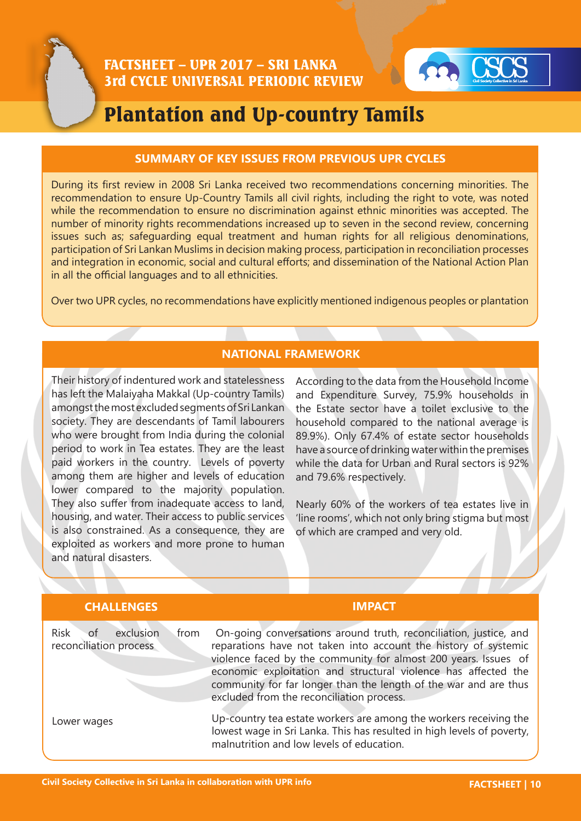

# Plantation and Up-country Tamils

#### **SUMMARY OF KEY ISSUES FROM PREVIOUS UPR CYCLES**

During its first review in 2008 Sri Lanka received two recommendations concerning minorities. The recommendation to ensure Up-Country Tamils all civil rights, including the right to vote, was noted while the recommendation to ensure no discrimination against ethnic minorities was accepted. The number of minority rights recommendations increased up to seven in the second review, concerning issues such as; safeguarding equal treatment and human rights for all religious denominations, participation of Sri Lankan Muslims in decision making process, participation in reconciliation processes and integration in economic, social and cultural efforts; and dissemination of the National Action Plan in all the official languages and to all ethnicities.

Over two UPR cycles, no recommendations have explicitly mentioned indigenous peoples or plantation

## **NATIONAL FRAMEWORK**

Their history of indentured work and statelessness has left the Malaiyaha Makkal (Up-country Tamils) amongst the most excluded segments of Sri Lankan society. They are descendants of Tamil labourers who were brought from India during the colonial period to work in Tea estates. They are the least paid workers in the country. Levels of poverty among them are higher and levels of education lower compared to the majority population. They also suffer from inadequate access to land, housing, and water. Their access to public services is also constrained. As a consequence, they are exploited as workers and more prone to human and natural disasters.

According to the data from the Household Income and Expenditure Survey, 75.9% households in the Estate sector have a toilet exclusive to the household compared to the national average is 89.9%). Only 67.4% of estate sector households have a source of drinking water within the premises while the data for Urban and Rural sectors is 92% and 79.6% respectively.

Nearly 60% of the workers of tea estates live in 'line rooms', which not only bring stigma but most of which are cramped and very old.

| <b>CHALLENGES</b>                                                | <b>IMPACT</b>                                                                                                                                                                                                                                                                                                                                                                              |
|------------------------------------------------------------------|--------------------------------------------------------------------------------------------------------------------------------------------------------------------------------------------------------------------------------------------------------------------------------------------------------------------------------------------------------------------------------------------|
| exclusion<br><b>Risk</b><br>of<br>from<br>reconciliation process | On-going conversations around truth, reconciliation, justice, and<br>reparations have not taken into account the history of systemic<br>violence faced by the community for almost 200 years. Issues of<br>economic exploitation and structural violence has affected the<br>community for far longer than the length of the war and are thus<br>excluded from the reconciliation process. |
| Lower wages                                                      | Up-country tea estate workers are among the workers receiving the<br>lowest wage in Sri Lanka. This has resulted in high levels of poverty,<br>malnutrition and low levels of education.                                                                                                                                                                                                   |